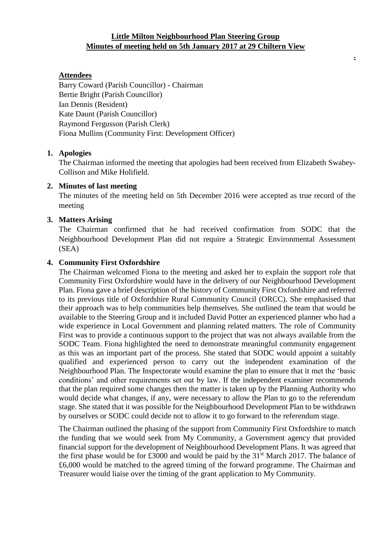## **Little Milton Neighbourhood Plan Steering Group Minutes of meeting held on 5th January 2017 at 29 Chiltern View**

**.**

### **Attendees**

Barry Coward (Parish Councillor) - Chairman Bertie Bright (Parish Councillor) Ian Dennis (Resident) Kate Daunt (Parish Councillor) Raymond Fergusson (Parish Clerk) Fiona Mullins (Community First: Development Officer)

#### **1. Apologies**

The Chairman informed the meeting that apologies had been received from Elizabeth Swabey-Collison and Mike Holifield.

### **2. Minutes of last meeting**

The minutes of the meeting held on 5th December 2016 were accepted as true record of the meeting

### **3. Matters Arising**

The Chairman confirmed that he had received confirmation from SODC that the Neighbourhood Development Plan did not require a Strategic Environmental Assessment (SEA)

### **4. Community First Oxfordshire**

The Chairman welcomed Fiona to the meeting and asked her to explain the support role that Community First Oxfordshire would have in the delivery of our Neighbourhood Development Plan. Fiona gave a brief description of the history of Community First Oxfordshire and referred to its previous title of Oxfordshire Rural Community Council (ORCC). She emphasised that their approach was to help communities help themselves. She outlined the team that would be available to the Steering Group and it included David Potter an experienced planner who had a wide experience in Local Government and planning related matters. The role of Community First was to provide a continuous support to the project that was not always available from the SODC Team. Fiona highlighted the need to demonstrate meaningful community engagement as this was an important part of the process. She stated that SODC would appoint a suitably qualified and experienced person to carry out the independent examination of the Neighbourhood Plan. The Inspectorate would examine the plan to ensure that it met the 'basic conditions' and other requirements set out by law. If the independent examiner recommends that the plan required some changes then the matter is taken up by the Planning Authority who would decide what changes, if any, were necessary to allow the Plan to go to the referendum stage. She stated that it was possible for the Neighbourhood Development Plan to be withdrawn by ourselves or SODC could decide not to allow it to go forward to the referendum stage.

The Chairman outlined the phasing of the support from Community First Oxfordshire to match the funding that we would seek from My Community, a Government agency that provided financial support for the development of Neighbourhood Development Plans. It was agreed that the first phase would be for £3000 and would be paid by the  $31<sup>st</sup>$  March 2017. The balance of £6,000 would be matched to the agreed timing of the forward programme. The Chairman and Treasurer would liaise over the timing of the grant application to My Community.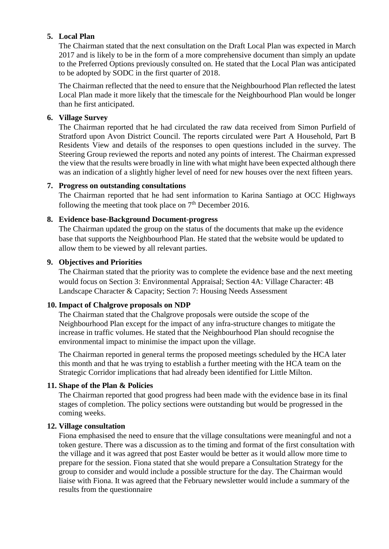## **5. Local Plan**

The Chairman stated that the next consultation on the Draft Local Plan was expected in March 2017 and is likely to be in the form of a more comprehensive document than simply an update to the Preferred Options previously consulted on. He stated that the Local Plan was anticipated to be adopted by SODC in the first quarter of 2018.

The Chairman reflected that the need to ensure that the Neighbourhood Plan reflected the latest Local Plan made it more likely that the timescale for the Neighbourhood Plan would be longer than he first anticipated.

## **6. Village Survey**

The Chairman reported that he had circulated the raw data received from Simon Purfield of Stratford upon Avon District Council. The reports circulated were Part A Household, Part B Residents View and details of the responses to open questions included in the survey. The Steering Group reviewed the reports and noted any points of interest. The Chairman expressed the view that the results were broadly in line with what might have been expected although there was an indication of a slightly higher level of need for new houses over the next fifteen years.

## **7. Progress on outstanding consultations**

The Chairman reported that he had sent information to Karina Santiago at OCC Highways following the meeting that took place on  $7<sup>th</sup>$  December 2016.

## **8. Evidence base-Background Document-progress**

The Chairman updated the group on the status of the documents that make up the evidence base that supports the Neighbourhood Plan. He stated that the website would be updated to allow them to be viewed by all relevant parties.

## **9. Objectives and Priorities**

The Chairman stated that the priority was to complete the evidence base and the next meeting would focus on Section 3: Environmental Appraisal; Section 4A: Village Character: 4B Landscape Character & Capacity; Section 7: Housing Needs Assessment

## **10. Impact of Chalgrove proposals on NDP**

The Chairman stated that the Chalgrove proposals were outside the scope of the Neighbourhood Plan except for the impact of any infra-structure changes to mitigate the increase in traffic volumes. He stated that the Neighbourhood Plan should recognise the environmental impact to minimise the impact upon the village.

The Chairman reported in general terms the proposed meetings scheduled by the HCA later this month and that he was trying to establish a further meeting with the HCA team on the Strategic Corridor implications that had already been identified for Little Milton.

# **11. Shape of the Plan & Policies**

The Chairman reported that good progress had been made with the evidence base in its final stages of completion. The policy sections were outstanding but would be progressed in the coming weeks.

## **12. Village consultation**

Fiona emphasised the need to ensure that the village consultations were meaningful and not a token gesture. There was a discussion as to the timing and format of the first consultation with the village and it was agreed that post Easter would be better as it would allow more time to prepare for the session. Fiona stated that she would prepare a Consultation Strategy for the group to consider and would include a possible structure for the day. The Chairman would liaise with Fiona. It was agreed that the February newsletter would include a summary of the results from the questionnaire